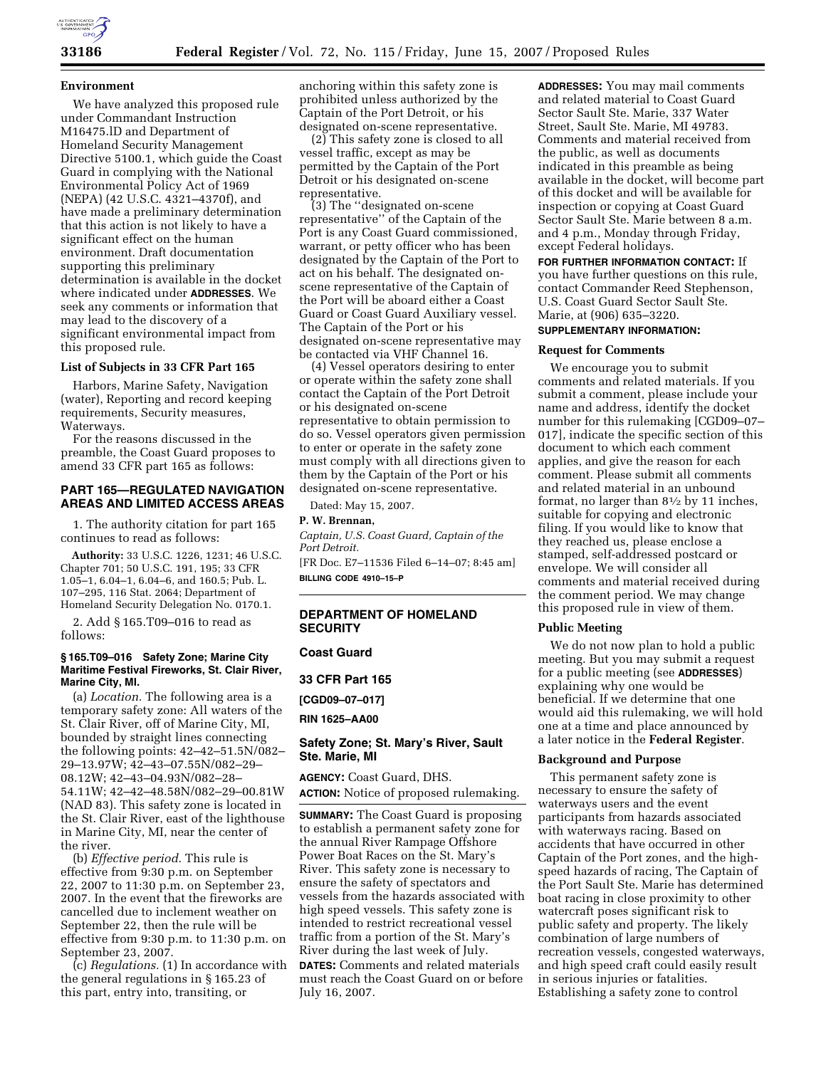

### **Environment**

We have analyzed this proposed rule under Commandant Instruction M16475.lD and Department of Homeland Security Management Directive 5100.1, which guide the Coast Guard in complying with the National Environmental Policy Act of 1969 (NEPA) (42 U.S.C. 4321–4370f), and have made a preliminary determination that this action is not likely to have a significant effect on the human environment. Draft documentation supporting this preliminary determination is available in the docket where indicated under **ADDRESSES**. We seek any comments or information that may lead to the discovery of a significant environmental impact from this proposed rule.

# **List of Subjects in 33 CFR Part 165**

Harbors, Marine Safety, Navigation (water), Reporting and record keeping requirements, Security measures, Waterways.

For the reasons discussed in the preamble, the Coast Guard proposes to amend 33 CFR part 165 as follows:

# **PART 165—REGULATED NAVIGATION AREAS AND LIMITED ACCESS AREAS**

1. The authority citation for part 165 continues to read as follows:

**Authority:** 33 U.S.C. 1226, 1231; 46 U.S.C. Chapter 701; 50 U.S.C. 191, 195; 33 CFR 1.05–1, 6.04–1, 6.04–6, and 160.5; Pub. L. 107–295, 116 Stat. 2064; Department of Homeland Security Delegation No. 0170.1.

2. Add § 165.T09–016 to read as follows:

### **§ 165.T09–016 Safety Zone; Marine City Maritime Festival Fireworks, St. Clair River, Marine City, MI.**

(a) *Location.* The following area is a temporary safety zone: All waters of the St. Clair River, off of Marine City, MI, bounded by straight lines connecting the following points: 42–42–51.5N/082– 29–13.97W; 42–43–07.55N/082–29– 08.12W; 42–43–04.93N/082–28– 54.11W; 42–42–48.58N/082–29–00.81W (NAD 83). This safety zone is located in the St. Clair River, east of the lighthouse in Marine City, MI, near the center of the river.

(b) *Effective period.* This rule is effective from 9:30 p.m. on September 22, 2007 to 11:30 p.m. on September 23, 2007. In the event that the fireworks are cancelled due to inclement weather on September 22, then the rule will be effective from 9:30 p.m. to 11:30 p.m. on September 23, 2007.

(c) *Regulations.* (1) In accordance with the general regulations in § 165.23 of this part, entry into, transiting, or

anchoring within this safety zone is prohibited unless authorized by the Captain of the Port Detroit, or his designated on-scene representative.

(2) This safety zone is closed to all vessel traffic, except as may be permitted by the Captain of the Port Detroit or his designated on-scene representative.

(3) The ''designated on-scene representative'' of the Captain of the Port is any Coast Guard commissioned, warrant, or petty officer who has been designated by the Captain of the Port to act on his behalf. The designated onscene representative of the Captain of the Port will be aboard either a Coast Guard or Coast Guard Auxiliary vessel. The Captain of the Port or his designated on-scene representative may be contacted via VHF Channel 16.

(4) Vessel operators desiring to enter or operate within the safety zone shall contact the Captain of the Port Detroit or his designated on-scene representative to obtain permission to do so. Vessel operators given permission to enter or operate in the safety zone must comply with all directions given to them by the Captain of the Port or his designated on-scene representative.

Dated: May 15, 2007.

#### **P. W. Brennan,**

*Captain, U.S. Coast Guard, Captain of the Port Detroit.* 

[FR Doc. E7–11536 Filed 6–14–07; 8:45 am] **BILLING CODE 4910–15–P** 

# **DEPARTMENT OF HOMELAND SECURITY**

#### **Coast Guard**

**33 CFR Part 165** 

**[CGD09–07–017]** 

**RIN 1625–AA00** 

# **Safety Zone; St. Mary's River, Sault Ste. Marie, MI**

**AGENCY:** Coast Guard, DHS. **ACTION:** Notice of proposed rulemaking.

**SUMMARY:** The Coast Guard is proposing to establish a permanent safety zone for the annual River Rampage Offshore Power Boat Races on the St. Mary's River. This safety zone is necessary to ensure the safety of spectators and vessels from the hazards associated with high speed vessels. This safety zone is intended to restrict recreational vessel traffic from a portion of the St. Mary's River during the last week of July.

**DATES:** Comments and related materials must reach the Coast Guard on or before July 16, 2007.

**ADDRESSES:** You may mail comments and related material to Coast Guard Sector Sault Ste. Marie, 337 Water Street, Sault Ste. Marie, MI 49783. Comments and material received from the public, as well as documents indicated in this preamble as being available in the docket, will become part of this docket and will be available for inspection or copying at Coast Guard Sector Sault Ste. Marie between 8 a.m. and 4 p.m., Monday through Friday, except Federal holidays.

**FOR FURTHER INFORMATION CONTACT:** If you have further questions on this rule, contact Commander Reed Stephenson, U.S. Coast Guard Sector Sault Ste. Marie, at (906) 635–3220.

# **SUPPLEMENTARY INFORMATION:**

### **Request for Comments**

We encourage you to submit comments and related materials. If you submit a comment, please include your name and address, identify the docket number for this rulemaking [CGD09–07– 017], indicate the specific section of this document to which each comment applies, and give the reason for each comment. Please submit all comments and related material in an unbound format, no larger than 81⁄2 by 11 inches, suitable for copying and electronic filing. If you would like to know that they reached us, please enclose a stamped, self-addressed postcard or envelope. We will consider all comments and material received during the comment period. We may change this proposed rule in view of them.

## **Public Meeting**

We do not now plan to hold a public meeting. But you may submit a request for a public meeting (see **ADDRESSES**) explaining why one would be beneficial. If we determine that one would aid this rulemaking, we will hold one at a time and place announced by a later notice in the **Federal Register**.

#### **Background and Purpose**

This permanent safety zone is necessary to ensure the safety of waterways users and the event participants from hazards associated with waterways racing. Based on accidents that have occurred in other Captain of the Port zones, and the highspeed hazards of racing, The Captain of the Port Sault Ste. Marie has determined boat racing in close proximity to other watercraft poses significant risk to public safety and property. The likely combination of large numbers of recreation vessels, congested waterways, and high speed craft could easily result in serious injuries or fatalities. Establishing a safety zone to control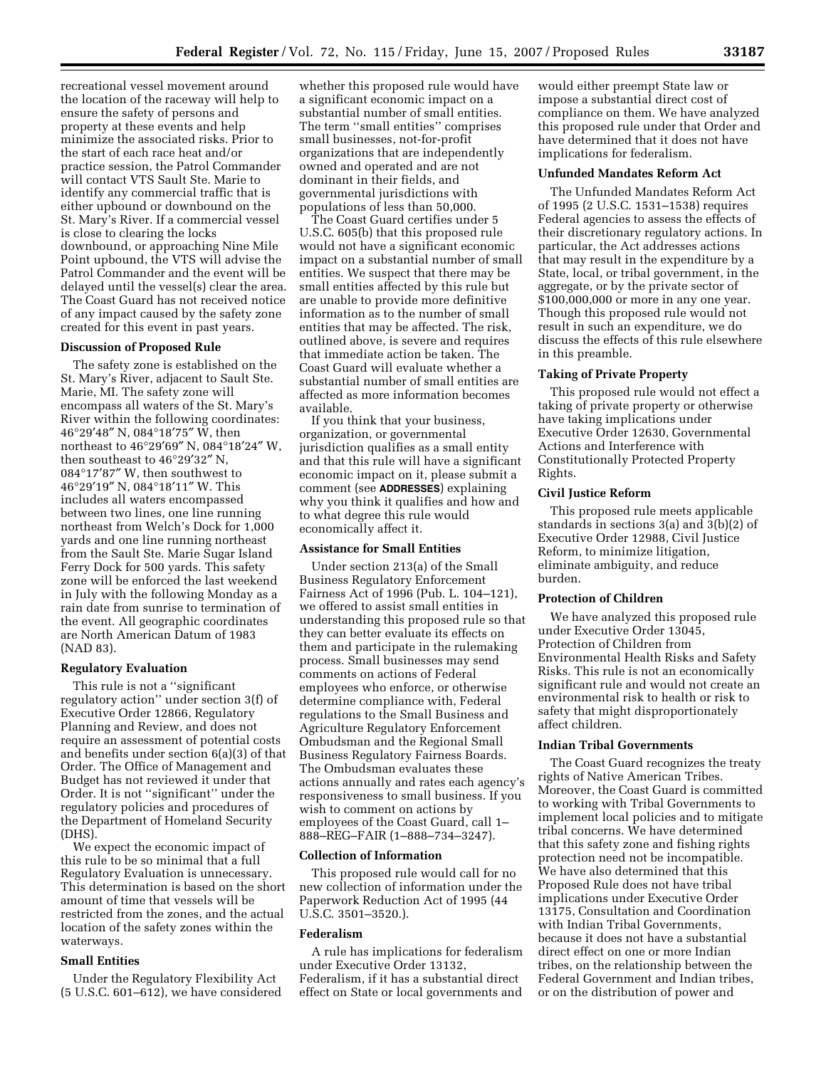recreational vessel movement around the location of the raceway will help to ensure the safety of persons and property at these events and help minimize the associated risks. Prior to the start of each race heat and/or practice session, the Patrol Commander will contact VTS Sault Ste. Marie to identify any commercial traffic that is either upbound or downbound on the St. Mary's River. If a commercial vessel is close to clearing the locks downbound, or approaching Nine Mile Point upbound, the VTS will advise the Patrol Commander and the event will be delayed until the vessel(s) clear the area. The Coast Guard has not received notice of any impact caused by the safety zone created for this event in past years.

# **Discussion of Proposed Rule**

The safety zone is established on the St. Mary's River, adjacent to Sault Ste. Marie, MI. The safety zone will encompass all waters of the St. Mary's River within the following coordinates: 46°29′48″ N, 084°18′75″ W, then northeast to 46°29′69″ N, 084°18′24″ W, then southeast to 46°29′32″ N, 084°17′87″ W, then southwest to 46°29′19″ N, 084°18′11″ W. This includes all waters encompassed between two lines, one line running northeast from Welch's Dock for 1,000 yards and one line running northeast from the Sault Ste. Marie Sugar Island Ferry Dock for 500 yards. This safety zone will be enforced the last weekend in July with the following Monday as a rain date from sunrise to termination of the event. All geographic coordinates are North American Datum of 1983 (NAD 83).

## **Regulatory Evaluation**

This rule is not a ''significant regulatory action'' under section 3(f) of Executive Order 12866, Regulatory Planning and Review, and does not require an assessment of potential costs and benefits under section 6(a)(3) of that Order. The Office of Management and Budget has not reviewed it under that Order. It is not ''significant'' under the regulatory policies and procedures of the Department of Homeland Security (DHS).

We expect the economic impact of this rule to be so minimal that a full Regulatory Evaluation is unnecessary. This determination is based on the short amount of time that vessels will be restricted from the zones, and the actual location of the safety zones within the waterways.

### **Small Entities**

Under the Regulatory Flexibility Act (5 U.S.C. 601–612), we have considered

whether this proposed rule would have a significant economic impact on a substantial number of small entities. The term ''small entities'' comprises small businesses, not-for-profit organizations that are independently owned and operated and are not dominant in their fields, and governmental jurisdictions with populations of less than 50,000.

The Coast Guard certifies under 5 U.S.C. 605(b) that this proposed rule would not have a significant economic impact on a substantial number of small entities. We suspect that there may be small entities affected by this rule but are unable to provide more definitive information as to the number of small entities that may be affected. The risk, outlined above, is severe and requires that immediate action be taken. The Coast Guard will evaluate whether a substantial number of small entities are affected as more information becomes available.

If you think that your business, organization, or governmental jurisdiction qualifies as a small entity and that this rule will have a significant economic impact on it, please submit a comment (see **ADDRESSES**) explaining why you think it qualifies and how and to what degree this rule would economically affect it.

# **Assistance for Small Entities**

Under section 213(a) of the Small Business Regulatory Enforcement Fairness Act of 1996 (Pub. L. 104–121), we offered to assist small entities in understanding this proposed rule so that they can better evaluate its effects on them and participate in the rulemaking process. Small businesses may send comments on actions of Federal employees who enforce, or otherwise determine compliance with, Federal regulations to the Small Business and Agriculture Regulatory Enforcement Ombudsman and the Regional Small Business Regulatory Fairness Boards. The Ombudsman evaluates these actions annually and rates each agency's responsiveness to small business. If you wish to comment on actions by employees of the Coast Guard, call 1– 888–REG–FAIR (1–888–734–3247).

#### **Collection of Information**

This proposed rule would call for no new collection of information under the Paperwork Reduction Act of 1995 (44 U.S.C. 3501–3520.).

#### **Federalism**

A rule has implications for federalism under Executive Order 13132, Federalism, if it has a substantial direct effect on State or local governments and

would either preempt State law or impose a substantial direct cost of compliance on them. We have analyzed this proposed rule under that Order and have determined that it does not have implications for federalism.

# **Unfunded Mandates Reform Act**

The Unfunded Mandates Reform Act of 1995 (2 U.S.C. 1531–1538) requires Federal agencies to assess the effects of their discretionary regulatory actions. In particular, the Act addresses actions that may result in the expenditure by a State, local, or tribal government, in the aggregate, or by the private sector of \$100,000,000 or more in any one year. Though this proposed rule would not result in such an expenditure, we do discuss the effects of this rule elsewhere in this preamble.

# **Taking of Private Property**

This proposed rule would not effect a taking of private property or otherwise have taking implications under Executive Order 12630, Governmental Actions and Interference with Constitutionally Protected Property Rights.

#### **Civil Justice Reform**

This proposed rule meets applicable standards in sections 3(a) and 3(b)(2) of Executive Order 12988, Civil Justice Reform, to minimize litigation, eliminate ambiguity, and reduce burden.

# **Protection of Children**

We have analyzed this proposed rule under Executive Order 13045, Protection of Children from Environmental Health Risks and Safety Risks. This rule is not an economically significant rule and would not create an environmental risk to health or risk to safety that might disproportionately affect children.

### **Indian Tribal Governments**

The Coast Guard recognizes the treaty rights of Native American Tribes. Moreover, the Coast Guard is committed to working with Tribal Governments to implement local policies and to mitigate tribal concerns. We have determined that this safety zone and fishing rights protection need not be incompatible. We have also determined that this Proposed Rule does not have tribal implications under Executive Order 13175, Consultation and Coordination with Indian Tribal Governments, because it does not have a substantial direct effect on one or more Indian tribes, on the relationship between the Federal Government and Indian tribes, or on the distribution of power and